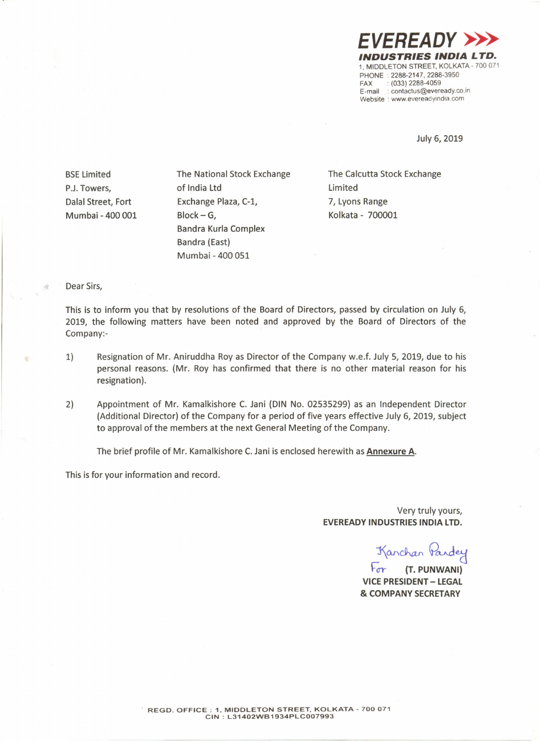*EVEREADY»> INDUSTRIES INDIA LTD.* 1, MIDDLETON STREET, KOLKATA- 700 071 PHONE: 2288-2147, 2288-3950 FAX: (033) 2288-4059 E-mail: contactus@eveready.co.in Website: www.evereadyindia.com

July 6, 2019

**BSE Limited** P.J.Towers, Dalal Street, Fort Mumbai - 400 001 The National Stock Exchange of India Ltd Exchange Plaza, C-l, Block-G, Bandra Kurla Complex Bandra (East) Mumbai - 400 051

The Calcutta Stock Exchange Limited 7, Lyons Range kolkata - 700001

## Dear Sirs,

£,

This is to inform you that by resolutions of the Board of Directors, passed by circulation on July 6, 2019, the following matters have been noted and approved by the Board of Directors of the Company:-

- 1) Resignation of Mr. Aniruddha Roy as Director of the Company w.e.f. July 5, 2019, due to his personal reasons. (Mr. Roy has confirmed that there is no other material reason for his resignation).
- 2) Appointment of Mr. Kamalkishore C. Jani (DIN No. 02535299) as an Independent Director (Additional Director) of the Company for a period of five years effective July 6, 2019, subject to approval of the members at the next General Meeting of the Company.

The brief profile of Mr. Kamalkishore C. Jani is enclosed herewith as Annexure A.

This is for your information and record.

Very truly yours, EVEREADY INDUSTRIES INDIA LTD.

Kanchan Pardey

 $\sqrt{r}$  (T. PUNWANI) VICE PRESIDENT - LEGAL & COMPANY SECRETARY